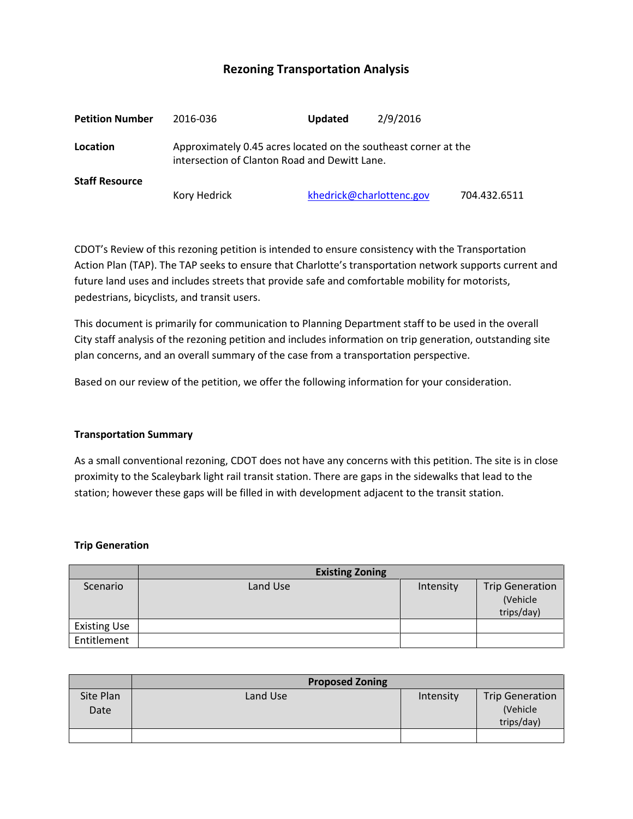# **Rezoning Transportation Analysis**

| <b>Petition Number</b> | 2016-036                                                                                                         | <b>Updated</b> | 2/9/2016                 |              |  |
|------------------------|------------------------------------------------------------------------------------------------------------------|----------------|--------------------------|--------------|--|
| Location               | Approximately 0.45 acres located on the southeast corner at the<br>intersection of Clanton Road and Dewitt Lane. |                |                          |              |  |
| <b>Staff Resource</b>  |                                                                                                                  |                |                          |              |  |
|                        | Kory Hedrick                                                                                                     |                | khedrick@charlottenc.gov | 704.432.6511 |  |

CDOT's Review of this rezoning petition is intended to ensure consistency with the Transportation Action Plan (TAP). The TAP seeks to ensure that Charlotte's transportation network supports current and future land uses and includes streets that provide safe and comfortable mobility for motorists, pedestrians, bicyclists, and transit users.

This document is primarily for communication to Planning Department staff to be used in the overall City staff analysis of the rezoning petition and includes information on trip generation, outstanding site plan concerns, and an overall summary of the case from a transportation perspective.

Based on our review of the petition, we offer the following information for your consideration.

#### **Transportation Summary**

As a small conventional rezoning, CDOT does not have any concerns with this petition. The site is in close proximity to the Scaleybark light rail transit station. There are gaps in the sidewalks that lead to the station; however these gaps will be filled in with development adjacent to the transit station.

#### **Trip Generation**

|                     | <b>Existing Zoning</b> |           |                                                  |  |  |
|---------------------|------------------------|-----------|--------------------------------------------------|--|--|
| Scenario            | Land Use               | Intensity | <b>Trip Generation</b><br>(Vehicle<br>trips/day) |  |  |
| <b>Existing Use</b> |                        |           |                                                  |  |  |
| Entitlement         |                        |           |                                                  |  |  |

|                   | <b>Proposed Zoning</b> |           |                                                  |  |
|-------------------|------------------------|-----------|--------------------------------------------------|--|
| Site Plan<br>Date | Land Use               | Intensity | <b>Trip Generation</b><br>(Vehicle<br>trips/day) |  |
|                   |                        |           |                                                  |  |